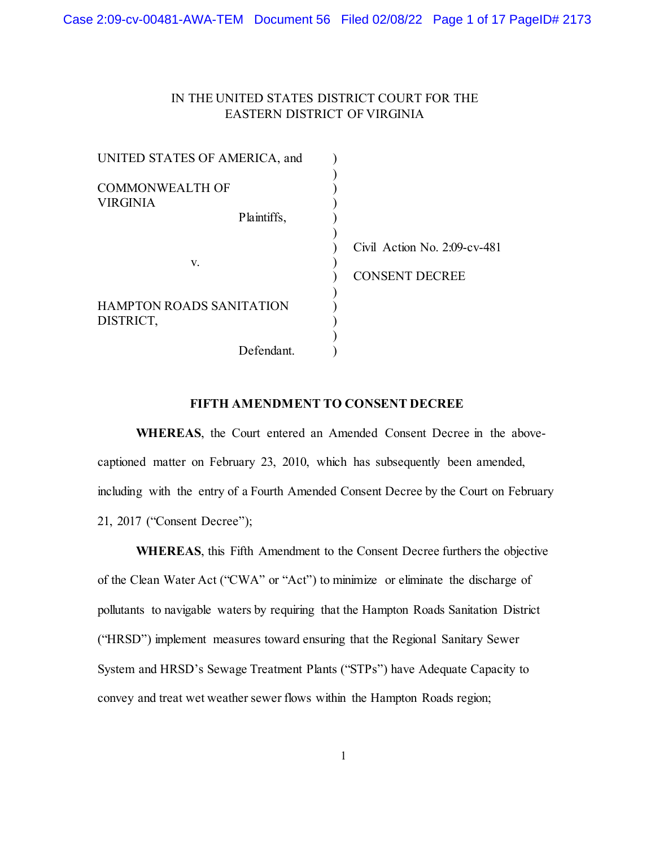# IN THE UNITED STATES DISTRICT COURT FOR THE EASTERN DISTRICT OF VIRGINIA

| UNITED STATES OF AMERICA, and                |                                                          |
|----------------------------------------------|----------------------------------------------------------|
| <b>COMMONWEALTH OF</b><br>VIRGINIA           |                                                          |
| Plaintiffs,                                  |                                                          |
| V.                                           | Civil Action No. $2:09$ -cv-481<br><b>CONSENT DECREE</b> |
| <b>HAMPTON ROADS SANITATION</b><br>DISTRICT, |                                                          |
| Defendant.                                   |                                                          |

#### **FIFTH AMENDMENT TO CONSENT DECREE**

**WHEREAS**, the Court entered an Amended Consent Decree in the abovecaptioned matter on February 23, 2010, which has subsequently been amended, including with the entry of a Fourth Amended Consent Decree by the Court on February 21, 2017 ("Consent Decree");

**WHEREAS**, this Fifth Amendment to the Consent Decree furthers the objective of the Clean Water Act ("CWA" or "Act") to minimize or eliminate the discharge of pollutants to navigable waters by requiring that the Hampton Roads Sanitation District ("HRSD") implement measures toward ensuring that the Regional Sanitary Sewer System and HRSD's Sewage Treatment Plants ("STPs") have Adequate Capacity to convey and treat wet weather sewer flows within the Hampton Roads region;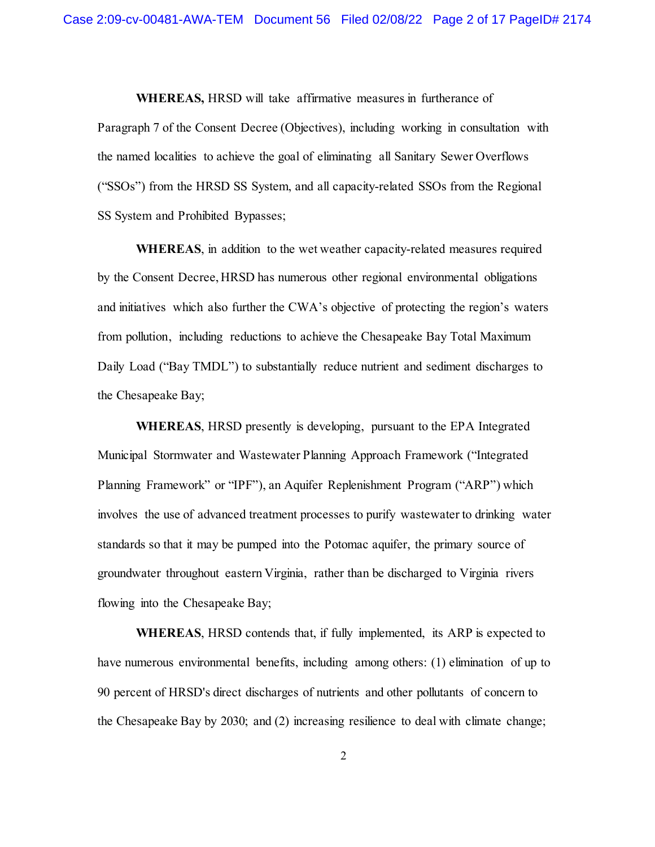**WHEREAS,** HRSD will take affirmative measures in furtherance of Paragraph 7 of the Consent Decree (Objectives), including working in consultation with the named localities to achieve the goal of eliminating all Sanitary Sewer Overflows ("SSOs") from the HRSD SS System, and all capacity-related SSOs from the Regional SS System and Prohibited Bypasses;

**WHEREAS**, in addition to the wet weather capacity-related measures required by the Consent Decree, HRSD has numerous other regional environmental obligations and initiatives which also further the CWA's objective of protecting the region's waters from pollution, including reductions to achieve the Chesapeake Bay Total Maximum Daily Load ("Bay TMDL") to substantially reduce nutrient and sediment discharges to the Chesapeake Bay;

**WHEREAS**, HRSD presently is developing, pursuant to the EPA Integrated Municipal Stormwater and Wastewater Planning Approach Framework ("Integrated Planning Framework" or "IPF"), an Aquifer Replenishment Program ("ARP") which involves the use of advanced treatment processes to purify wastewater to drinking water standards so that it may be pumped into the Potomac aquifer, the primary source of groundwater throughout eastern Virginia, rather than be discharged to Virginia rivers flowing into the Chesapeake Bay;

**WHEREAS**, HRSD contends that, if fully implemented, its ARP is expected to have numerous environmental benefits, including among others: (1) elimination of up to 90 percent of HRSD's direct discharges of nutrients and other pollutants of concern to the Chesapeake Bay by 2030; and (2) increasing resilience to deal with climate change;

2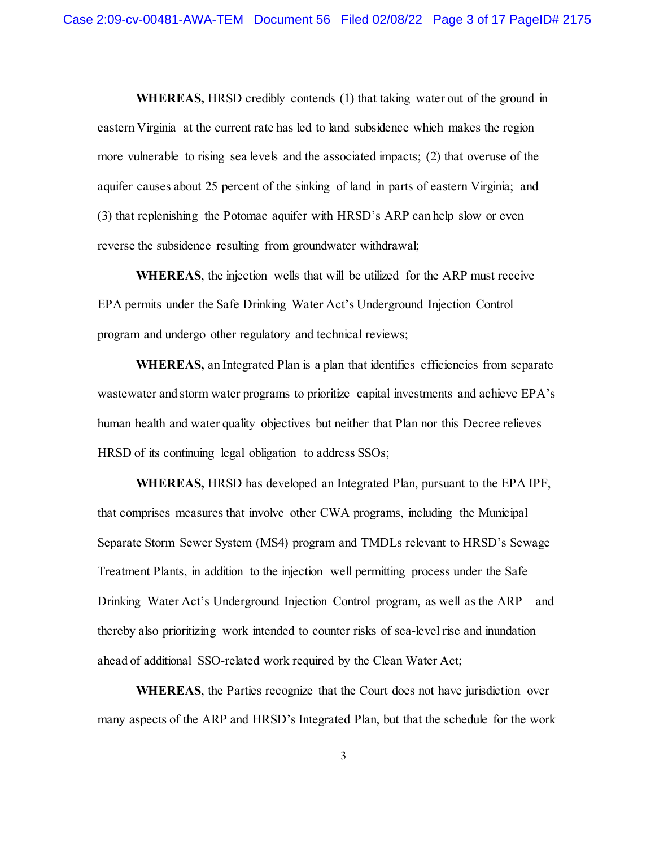**WHEREAS,** HRSD credibly contends (1) that taking water out of the ground in eastern Virginia at the current rate has led to land subsidence which makes the region more vulnerable to rising sea levels and the associated impacts; (2) that overuse of the aquifer causes about 25 percent of the sinking of land in parts of eastern Virginia; and (3) that replenishing the Potomac aquifer with HRSD's ARP can help slow or even reverse the subsidence resulting from groundwater withdrawal;

**WHEREAS**, the injection wells that will be utilized for the ARP must receive EPA permits under the Safe Drinking Water Act's Underground Injection Control program and undergo other regulatory and technical reviews;

**WHEREAS,** an Integrated Plan is a plan that identifies efficiencies from separate wastewater and storm water programs to prioritize capital investments and achieve EPA's human health and water quality objectives but neither that Plan nor this Decree relieves HRSD of its continuing legal obligation to address SSOs;

**WHEREAS,** HRSD has developed an Integrated Plan, pursuant to the EPA IPF, that comprises measures that involve other CWA programs, including the Municipal Separate Storm Sewer System (MS4) program and TMDLs relevant to HRSD's Sewage Treatment Plants, in addition to the injection well permitting process under the Safe Drinking Water Act's Underground Injection Control program, as well as the ARP—and thereby also prioritizing work intended to counter risks of sea-level rise and inundation ahead of additional SSO-related work required by the Clean Water Act;

**WHEREAS**, the Parties recognize that the Court does not have jurisdiction over many aspects of the ARP and HRSD's Integrated Plan, but that the schedule for the work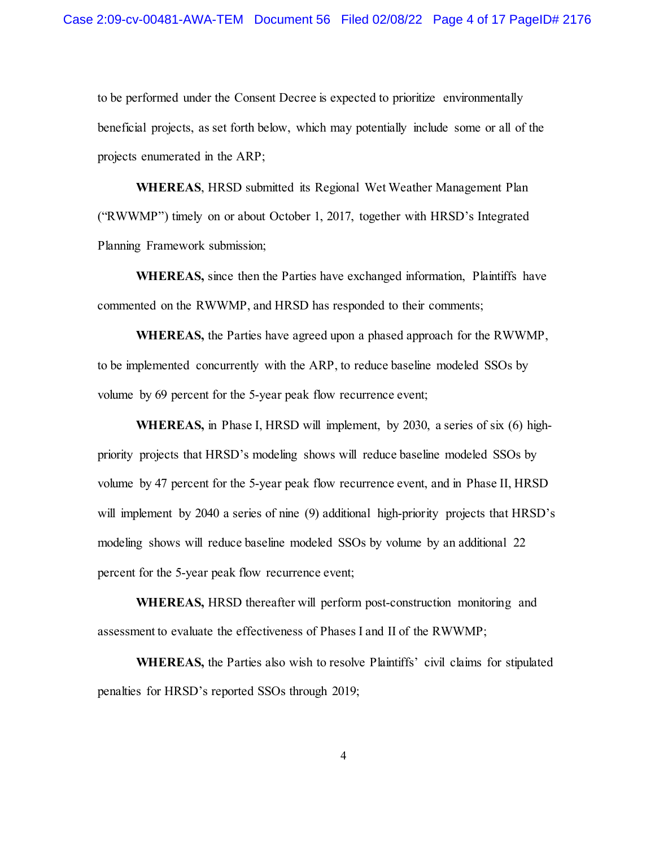to be performed under the Consent Decree is expected to prioritize environmentally beneficial projects, as set forth below, which may potentially include some or all of the projects enumerated in the ARP;

**WHEREAS**, HRSD submitted its Regional Wet Weather Management Plan ("RWWMP") timely on or about October 1, 2017, together with HRSD's Integrated Planning Framework submission;

**WHEREAS,** since then the Parties have exchanged information, Plaintiffs have commented on the RWWMP, and HRSD has responded to their comments;

**WHEREAS,** the Parties have agreed upon a phased approach for the RWWMP, to be implemented concurrently with the ARP, to reduce baseline modeled SSOs by volume by 69 percent for the 5-year peak flow recurrence event;

**WHEREAS,** in Phase I, HRSD will implement, by 2030, a series of six (6) highpriority projects that HRSD's modeling shows will reduce baseline modeled SSOs by volume by 47 percent for the 5-year peak flow recurrence event, and in Phase II, HRSD will implement by 2040 a series of nine (9) additional high-priority projects that HRSD's modeling shows will reduce baseline modeled SSOs by volume by an additional 22 percent for the 5-year peak flow recurrence event;

**WHEREAS,** HRSD thereafter will perform post-construction monitoring and assessment to evaluate the effectiveness of Phases I and II of the RWWMP;

**WHEREAS,** the Parties also wish to resolve Plaintiffs' civil claims for stipulated penalties for HRSD's reported SSOs through 2019;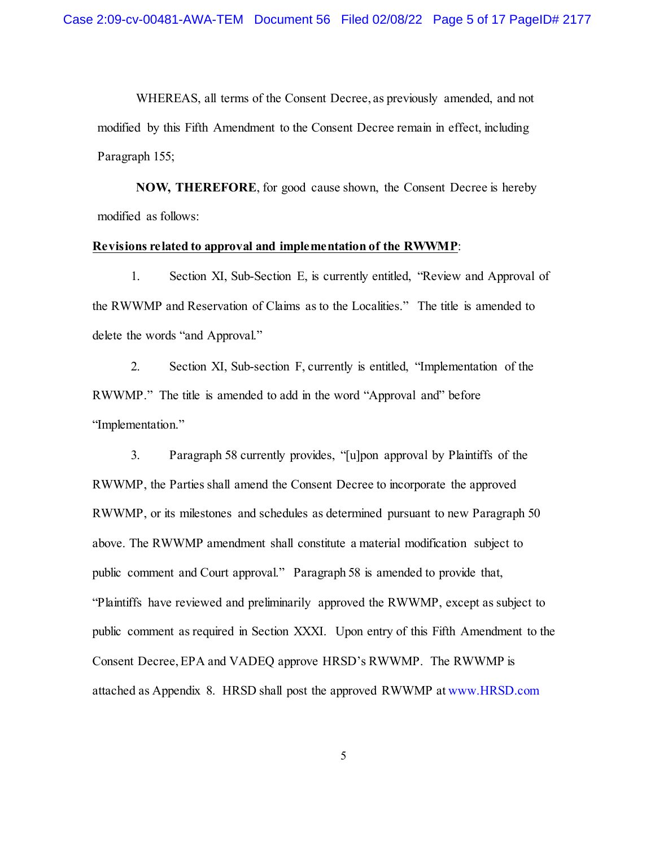WHEREAS, all terms of the Consent Decree, as previously amended, and not modified by this Fifth Amendment to the Consent Decree remain in effect, including Paragraph 155;

**NOW, THEREFORE**, for good cause shown, the Consent Decree is hereby modified as follows:

## **Revisions related to approval and implementation of the RWWMP**:

1. Section XI, Sub-Section E, is currently entitled, "Review and Approval of the RWWMP and Reservation of Claims as to the Localities." The title is amended to delete the words "and Approval."

2. Section XI, Sub-section F, currently is entitled, "Implementation of the RWWMP." The title is amended to add in the word "Approval and" before "Implementation."

3. Paragraph 58 currently provides, "[u]pon approval by Plaintiffs of the RWWMP, the Parties shall amend the Consent Decree to incorporate the approved RWWMP, or its milestones and schedules as determined pursuant to new Paragraph 50 above. The RWWMP amendment shall constitute a material modification subject to public comment and Court approval." Paragraph 58 is amended to provide that, "Plaintiffs have reviewed and preliminarily approved the RWWMP, except as subject to public comment as required in Section XXXI. Upon entry of this Fifth Amendment to the Consent Decree, EPA and VADEQ approve HRSD's RWWMP. The RWWMP is attached as Appendix 8. HRSD shall post the approved RWWMP at www.HRSD.com

5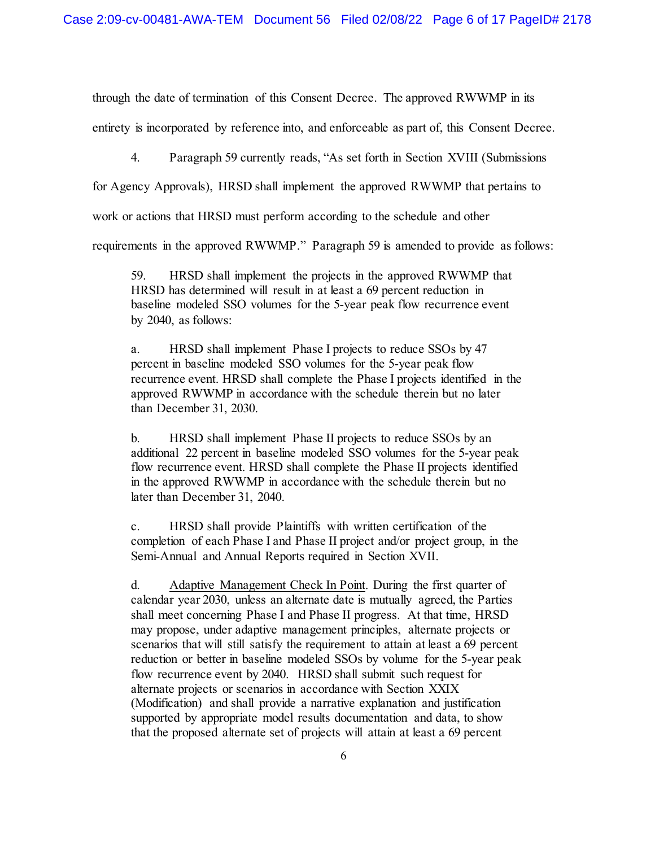through the date of termination of this Consent Decree. The approved RWWMP in its entirety is incorporated by reference into, and enforceable as part of, this Consent Decree.

4. Paragraph 59 currently reads, "As set forth in Section XVIII (Submissions

for Agency Approvals), HRSD shall implement the approved RWWMP that pertains to

work or actions that HRSD must perform according to the schedule and other

requirements in the approved RWWMP." Paragraph 59 is amended to provide as follows:

59. HRSD shall implement the projects in the approved RWWMP that HRSD has determined will result in at least a 69 percent reduction in baseline modeled SSO volumes for the 5-year peak flow recurrence event by 2040, as follows:

a. HRSD shall implement Phase I projects to reduce SSOs by 47 percent in baseline modeled SSO volumes for the 5-year peak flow recurrence event. HRSD shall complete the Phase I projects identified in the approved RWWMP in accordance with the schedule therein but no later than December 31, 2030.

b. HRSD shall implement Phase II projects to reduce SSOs by an additional 22 percent in baseline modeled SSO volumes for the 5-year peak flow recurrence event. HRSD shall complete the Phase II projects identified in the approved RWWMP in accordance with the schedule therein but no later than December 31, 2040.

c. HRSD shall provide Plaintiffs with written certification of the completion of each Phase I and Phase II project and/or project group, in the Semi-Annual and Annual Reports required in Section XVII.

d. Adaptive Management Check In Point. During the first quarter of calendar year 2030, unless an alternate date is mutually agreed, the Parties shall meet concerning Phase I and Phase II progress. At that time, HRSD may propose, under adaptive management principles, alternate projects or scenarios that will still satisfy the requirement to attain at least a 69 percent reduction or better in baseline modeled SSOs by volume for the 5-year peak flow recurrence event by 2040. HRSD shall submit such request for alternate projects or scenarios in accordance with Section XXIX (Modification) and shall provide a narrative explanation and justification supported by appropriate model results documentation and data, to show that the proposed alternate set of projects will attain at least a 69 percent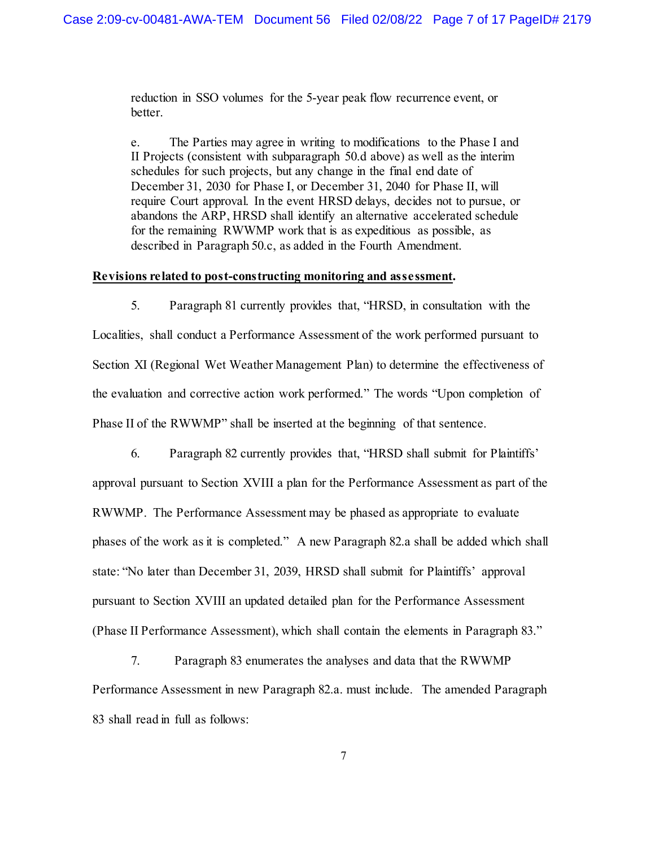reduction in SSO volumes for the 5-year peak flow recurrence event, or better.

e. The Parties may agree in writing to modifications to the Phase I and II Projects (consistent with subparagraph 50.d above) as well as the interim schedules for such projects, but any change in the final end date of December 31, 2030 for Phase I, or December 31, 2040 for Phase II, will require Court approval. In the event HRSD delays, decides not to pursue, or abandons the ARP, HRSD shall identify an alternative accelerated schedule for the remaining RWWMP work that is as expeditious as possible, as described in Paragraph 50.c, as added in the Fourth Amendment.

#### **Revisions related to post-constructing monitoring and assessment.**

5. Paragraph 81 currently provides that, "HRSD, in consultation with the Localities, shall conduct a Performance Assessment of the work performed pursuant to Section XI (Regional Wet Weather Management Plan) to determine the effectiveness of the evaluation and corrective action work performed." The words "Upon completion of Phase II of the RWWMP" shall be inserted at the beginning of that sentence.

6. Paragraph 82 currently provides that, "HRSD shall submit for Plaintiffs' approval pursuant to Section XVIII a plan for the Performance Assessment as part of the RWWMP. The Performance Assessment may be phased as appropriate to evaluate phases of the work as it is completed." A new Paragraph 82.a shall be added which shall state: "No later than December 31, 2039, HRSD shall submit for Plaintiffs' approval pursuant to Section XVIII an updated detailed plan for the Performance Assessment (Phase II Performance Assessment), which shall contain the elements in Paragraph 83."

7. Paragraph 83 enumerates the analyses and data that the RWWMP Performance Assessment in new Paragraph 82.a. must include. The amended Paragraph 83 shall read in full as follows: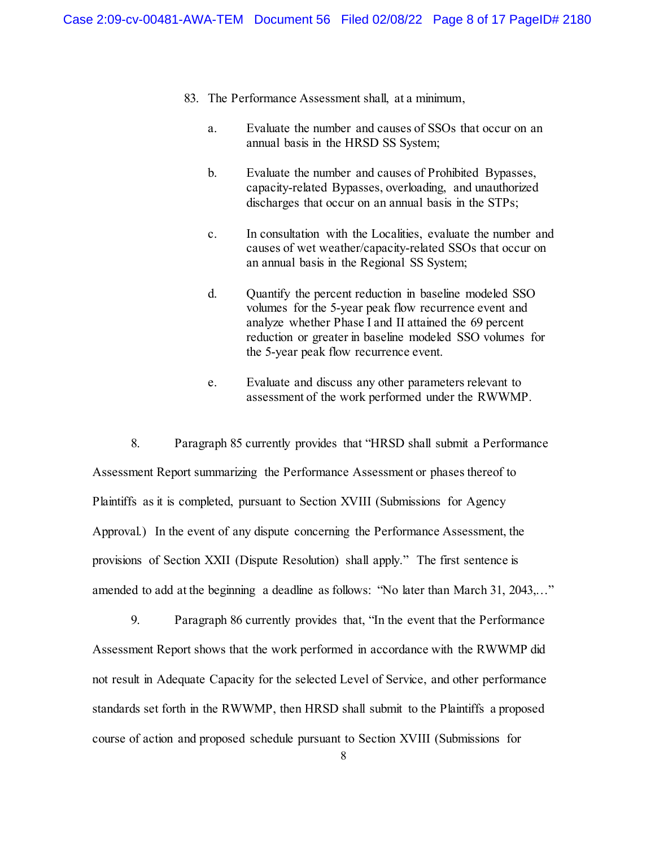- 83. The Performance Assessment shall, at a minimum,
	- a. Evaluate the number and causes of SSOs that occur on an annual basis in the HRSD SS System;
	- b. Evaluate the number and causes of Prohibited Bypasses, capacity-related Bypasses, overloading, and unauthorized discharges that occur on an annual basis in the STPs;
	- c. In consultation with the Localities, evaluate the number and causes of wet weather/capacity-related SSOs that occur on an annual basis in the Regional SS System;
	- d. Quantify the percent reduction in baseline modeled SSO volumes for the 5-year peak flow recurrence event and analyze whether Phase I and II attained the 69 percent reduction or greater in baseline modeled SSO volumes for the 5-year peak flow recurrence event.
	- e. Evaluate and discuss any other parameters relevant to assessment of the work performed under the RWWMP.

8. Paragraph 85 currently provides that "HRSD shall submit a Performance Assessment Report summarizing the Performance Assessment or phases thereof to Plaintiffs as it is completed, pursuant to Section XVIII (Submissions for Agency Approval.) In the event of any dispute concerning the Performance Assessment, the provisions of Section XXII (Dispute Resolution) shall apply." The first sentence is amended to add at the beginning a deadline as follows: "No later than March 31, 2043,…"

9. Paragraph 86 currently provides that, "In the event that the Performance Assessment Report shows that the work performed in accordance with the RWWMP did not result in Adequate Capacity for the selected Level of Service, and other performance standards set forth in the RWWMP, then HRSD shall submit to the Plaintiffs a proposed course of action and proposed schedule pursuant to Section XVIII (Submissions for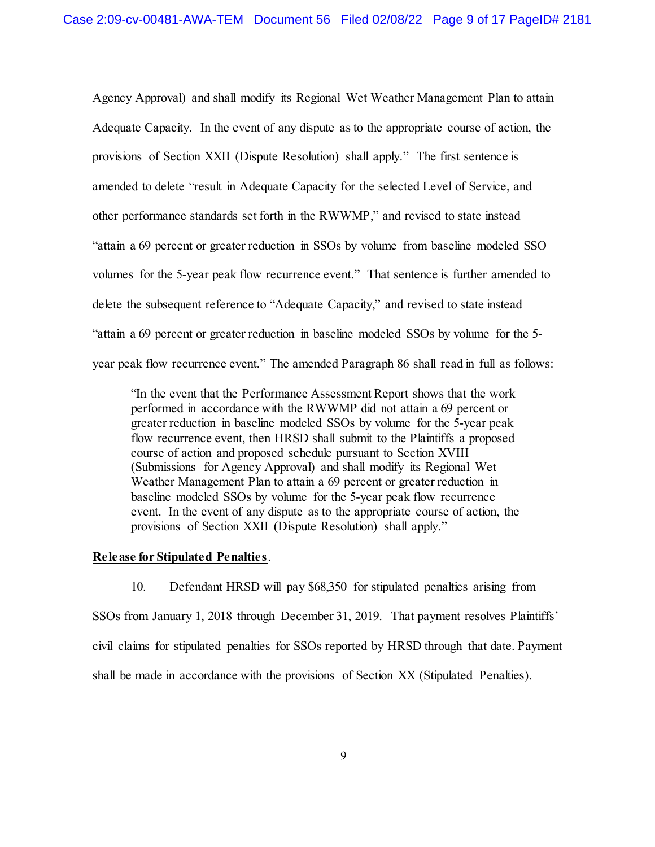Agency Approval) and shall modify its Regional Wet Weather Management Plan to attain Adequate Capacity. In the event of any dispute as to the appropriate course of action, the provisions of Section XXII (Dispute Resolution) shall apply." The first sentence is amended to delete "result in Adequate Capacity for the selected Level of Service, and other performance standards set forth in the RWWMP," and revised to state instead "attain a 69 percent or greater reduction in SSOs by volume from baseline modeled SSO volumes for the 5-year peak flow recurrence event." That sentence is further amended to delete the subsequent reference to "Adequate Capacity," and revised to state instead "attain a 69 percent or greater reduction in baseline modeled SSOs by volume for the 5 year peak flow recurrence event." The amended Paragraph 86 shall read in full as follows:

"In the event that the Performance Assessment Report shows that the work performed in accordance with the RWWMP did not attain a 69 percent or greater reduction in baseline modeled SSOs by volume for the 5-year peak flow recurrence event, then HRSD shall submit to the Plaintiffs a proposed course of action and proposed schedule pursuant to Section XVIII (Submissions for Agency Approval) and shall modify its Regional Wet Weather Management Plan to attain a 69 percent or greater reduction in baseline modeled SSOs by volume for the 5-year peak flow recurrence event. In the event of any dispute as to the appropriate course of action, the provisions of Section XXII (Dispute Resolution) shall apply."

#### **Release for Stipulated Penalties**.

10. Defendant HRSD will pay \$68,350 for stipulated penalties arising from SSOs from January 1, 2018 through December 31, 2019. That payment resolves Plaintiffs' civil claims for stipulated penalties for SSOs reported by HRSD through that date. Payment shall be made in accordance with the provisions of Section XX (Stipulated Penalties).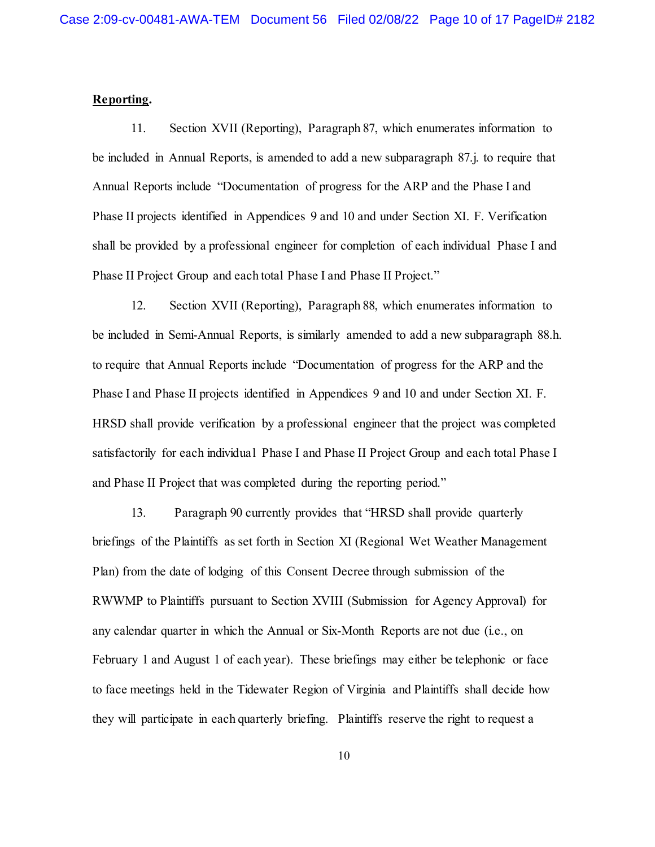### **Reporting.**

11. Section XVII (Reporting), Paragraph 87, which enumerates information to be included in Annual Reports, is amended to add a new subparagraph 87.j. to require that Annual Reports include "Documentation of progress for the ARP and the Phase I and Phase II projects identified in Appendices 9 and 10 and under Section XI. F. Verification shall be provided by a professional engineer for completion of each individual Phase I and Phase II Project Group and each total Phase I and Phase II Project."

12. Section XVII (Reporting), Paragraph 88, which enumerates information to be included in Semi-Annual Reports, is similarly amended to add a new subparagraph 88.h. to require that Annual Reports include "Documentation of progress for the ARP and the Phase I and Phase II projects identified in Appendices 9 and 10 and under Section XI. F. HRSD shall provide verification by a professional engineer that the project was completed satisfactorily for each individual Phase I and Phase II Project Group and each total Phase I and Phase II Project that was completed during the reporting period."

13. Paragraph 90 currently provides that "HRSD shall provide quarterly briefings of the Plaintiffs as set forth in Section XI (Regional Wet Weather Management Plan) from the date of lodging of this Consent Decree through submission of the RWWMP to Plaintiffs pursuant to Section XVIII (Submission for Agency Approval) for any calendar quarter in which the Annual or Six-Month Reports are not due (i.e., on February 1 and August 1 of each year). These briefings may either be telephonic or face to face meetings held in the Tidewater Region of Virginia and Plaintiffs shall decide how they will participate in each quarterly briefing. Plaintiffs reserve the right to request a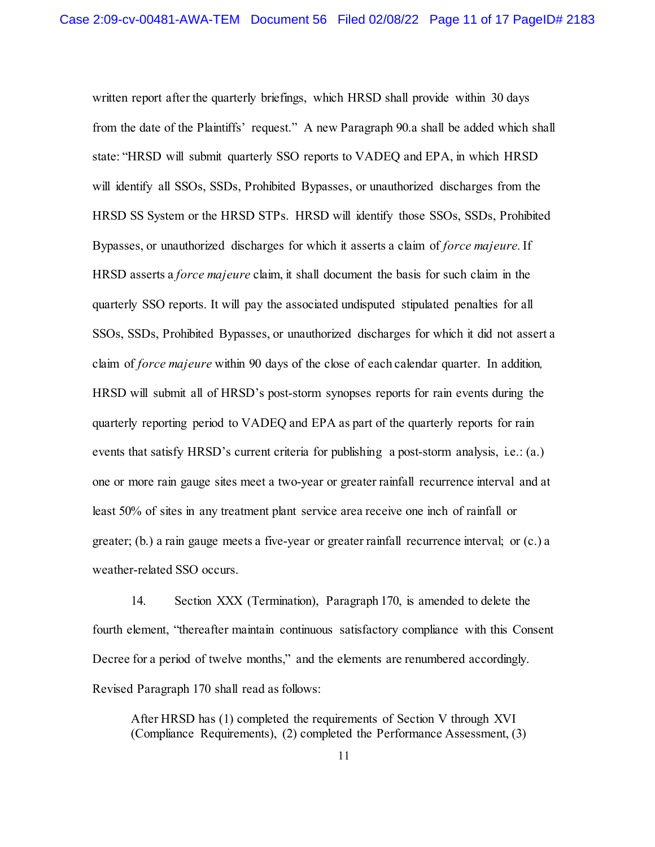written report after the quarterly briefings, which HRSD shall provide within 30 days from the date of the Plaintiffs' request." A new Paragraph 90.a shall be added which shall state: "HRSD will submit quarterly SSO reports to VADEQ and EPA, in which HRSD will identify all SSOs, SSDs, Prohibited Bypasses, or unauthorized discharges from the HRSD SS System or the HRSD STPs. HRSD will identify those SSOs, SSDs, Prohibited Bypasses, or unauthorized discharges for which it asserts a claim of *force majeure.* If HRSD asserts a *force majeure* claim, it shall document the basis for such claim in the quarterly SSO reports. It will pay the associated undisputed stipulated penalties for all SSOs, SSDs, Prohibited Bypasses, or unauthorized discharges for which it did not assert a claim of *force majeure* within 90 days of the close of each calendar quarter. In addition*,* HRSD will submit all of HRSD's post-storm synopses reports for rain events during the quarterly reporting period to VADEQ and EPA as part of the quarterly reports for rain events that satisfy HRSD's current criteria for publishing a post-storm analysis, i.e.: (a.) one or more rain gauge sites meet a two-year or greater rainfall recurrence interval and at least 50% of sites in any treatment plant service area receive one inch of rainfall or greater; (b.) a rain gauge meets a five-year or greater rainfall recurrence interval; or (c.) a weather-related SSO occurs.

14. Section XXX (Termination), Paragraph 170, is amended to delete the fourth element, "thereafter maintain continuous satisfactory compliance with this Consent Decree for a period of twelve months," and the elements are renumbered accordingly. Revised Paragraph 170 shall read as follows:

After HRSD has (1) completed the requirements of Section V through XVI (Compliance Requirements), (2) completed the Performance Assessment, (3)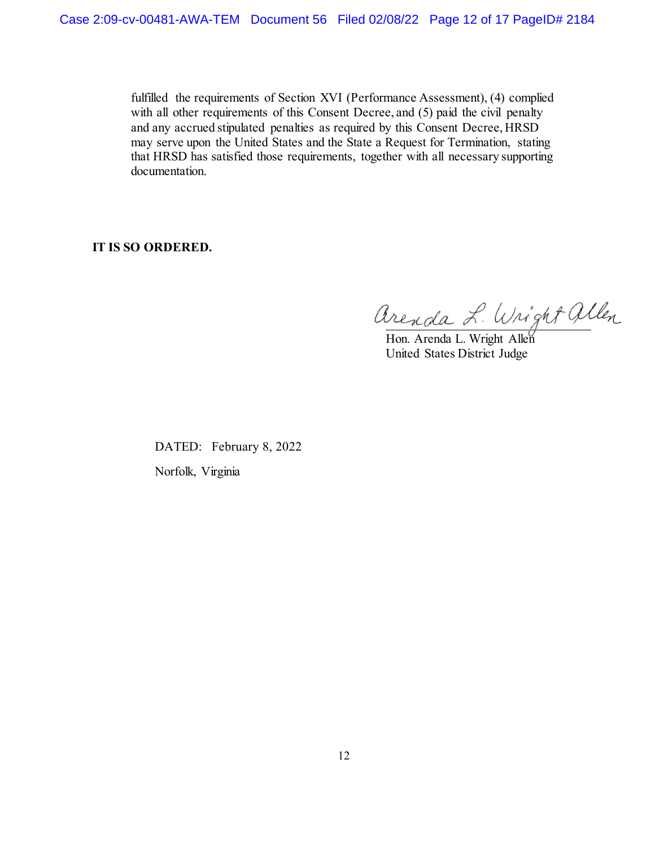fulfilled the requirements of Section XVI (Performance Assessment), (4) complied with all other requirements of this Consent Decree, and (5) paid the civil penalty and any accrued stipulated penalties as required by this Consent Decree, HRSD may serve upon the United States and the State a Request for Termination, stating that HRSD has satisfied those requirements, together with all necessary supporting documentation.

**IT IS SO ORDERED.**

Arenda L. Wright allen

United States District Judge

DATED: February 8, 2022 Norfolk, Virginia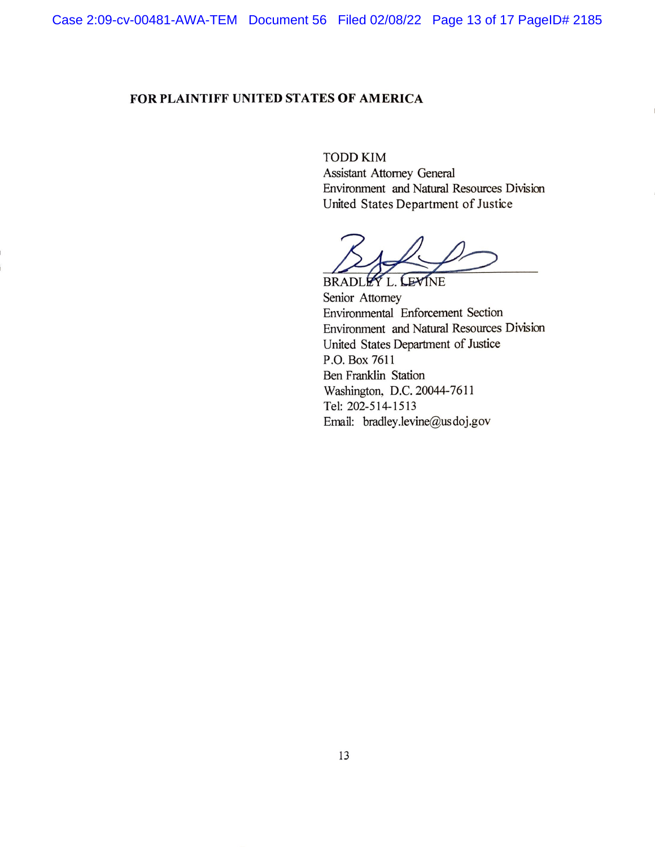# FOR PLAINTIFF UNITED STATES OF AMERICA

**TODD KIM Assistant Attorney General** Environment and Natural Resources Division United States Department of Justice

BRADLEY L. LEVINE

Senior Attorney Environmental Enforcement Section Environment and Natural Resources Division United States Department of Justice P.O. Box 7611 Ben Franklin Station Washington, D.C. 20044-7611 Tel: 202-514-1513 Email: bradley.levine@usdoj.gov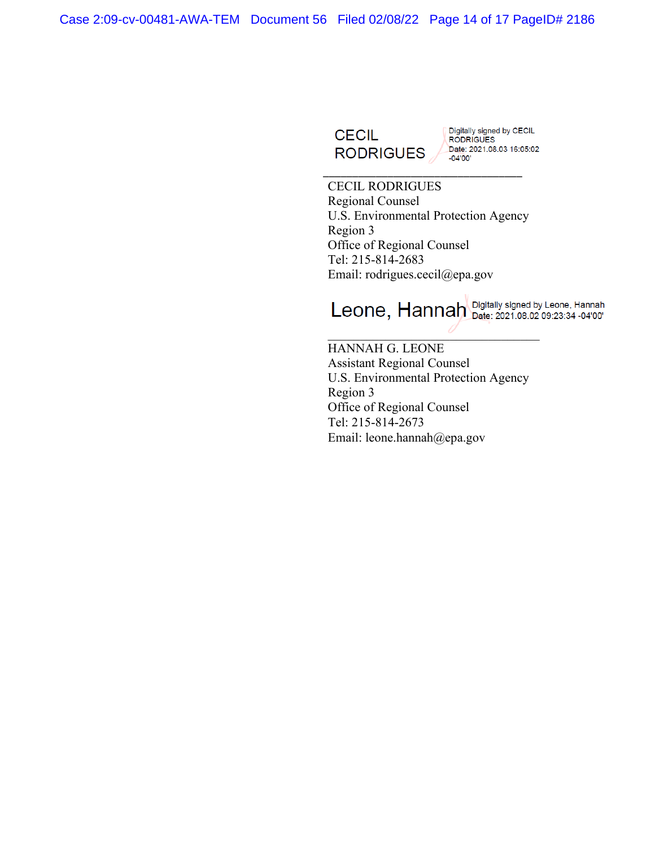Case 2:09-cv-00481-AWA-TEM Document 56 Filed 02/08/22 Page 14 of 17 PageID# 2186



Digitally signed by CECIL<br>RODRIGUES

CECIL RODRIGUES Regional Counsel U.S. Environmental Protection Agency Region 3 Office of Regional Counsel Tel: 215-814-2683 Email: rodrigues.cecil@epa.gov

\_\_\_\_\_\_\_\_\_\_\_\_\_\_\_\_\_\_\_\_\_\_\_\_\_\_\_\_\_\_\_\_\_\_

Leone, Hannah Digitally signed by Leone, Hannah

HANNAH G. LEONE Assistant Regional Counsel U.S. Environmental Protection Agency Region 3 Office of Regional Counsel Tel: 215-814-2673 Email: leone.hannah@epa.gov

 $\overline{a}$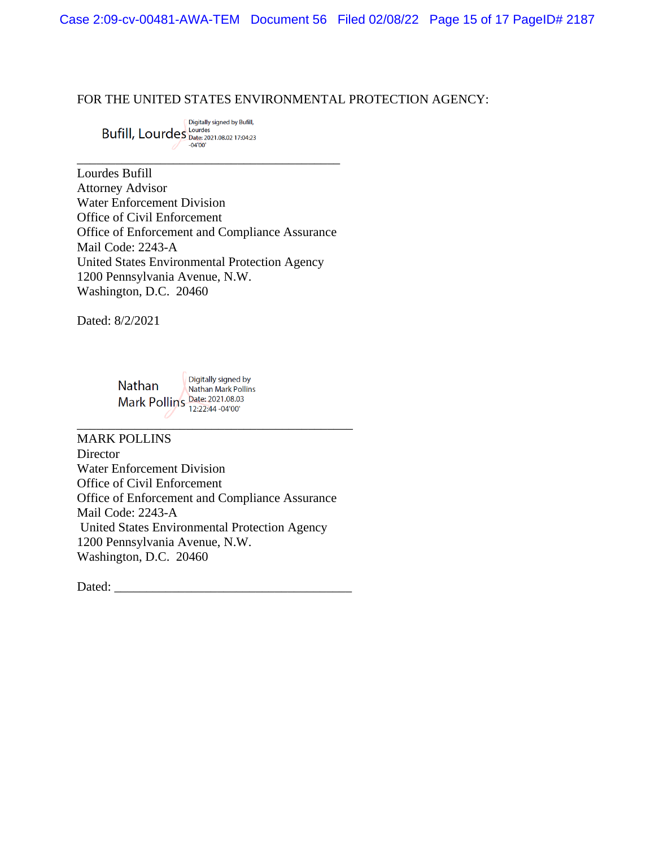Case 2:09-cv-00481-AWA-TEM Document 56 Filed 02/08/22 Page 15 of 17 PageID# 2187

FOR THE UNITED STATES ENVIRONMENTAL PROTECTION AGENCY:

Digitally signed by Bufill, **Bufill, Lourdes** Date: 2021.08.02 17:04:23

Lourdes Bufill Attorney Advisor Water Enforcement Division Office of Civil Enforcement Office of Enforcement and Compliance Assurance Mail Code: 2243-A United States Environmental Protection Agency 1200 Pennsylvania Avenue, N.W. Washington, D.C. 20460

\_\_\_\_\_\_\_\_\_\_\_\_\_\_\_\_\_\_\_\_\_\_\_\_\_\_\_\_\_\_\_\_\_\_\_\_\_\_\_\_\_

Dated: 8/2/2021

Digitally signed by Nathan Nathan Mark Pollins Mark Pollins Date: 2021.08.03

MARK POLLINS **Director** Water Enforcement Division Office of Civil Enforcement Office of Enforcement and Compliance Assurance Mail Code: 2243-A United States Environmental Protection Agency 1200 Pennsylvania Avenue, N.W. Washington, D.C. 20460

\_\_\_\_\_\_\_\_\_\_\_\_\_\_\_\_\_\_\_\_\_\_\_\_\_\_\_\_\_\_\_\_\_\_\_\_\_\_\_\_\_\_\_

Dated:  $\_\_$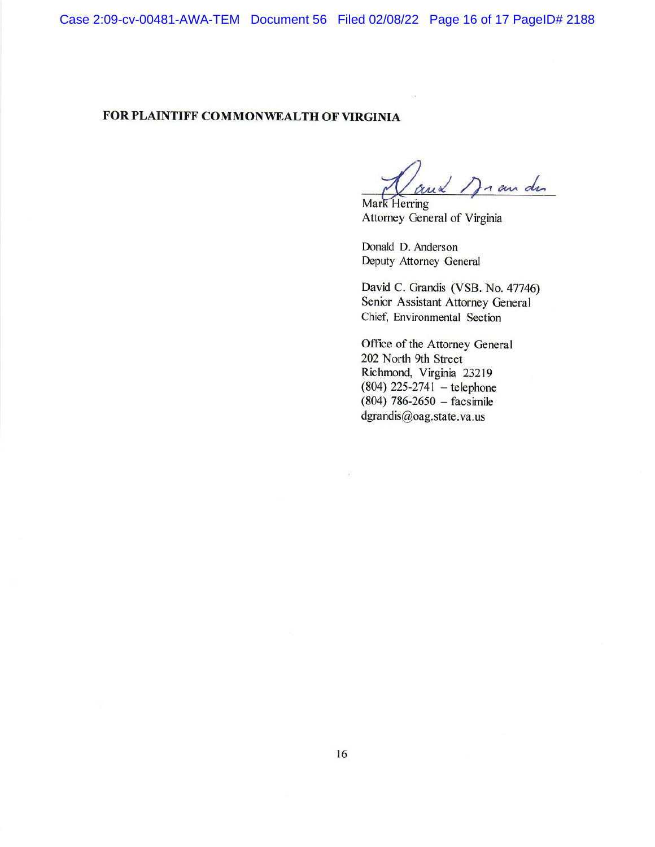Case 2:09-cv-00481-AWA-TEM Document 56 Filed 02/08/22 Page 16 of 17 PageID# 2188

# FOR PLAINTIFF COMMONWEALTH OF VIRGINIA

n au du Mark Herring

Attorney General of Virginia

Donald D. Anderson Deputy Attorney General

David C. Grandis (VSB. No. 47746) Senior Assistant Attorney General Chief, Environmental Section

Office of the Attorney General 202 North 9th Street Richmond, Virginia 23219  $(804)$  225-2741 – telephone  $(804)$  786-2650 - facsimile dgrandis@oag.state.va.us